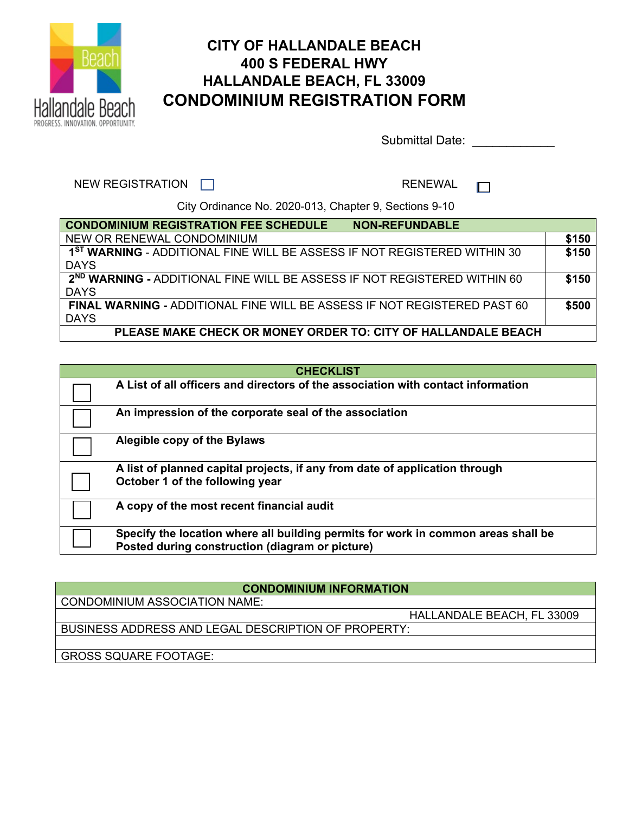

## **CITY OF HALLANDALE BEACH 400 S FEDERAL HWY HALLANDALE BEACH, FL 33009 CONDOMINIUM REGISTRATION FORM**

Submittal Date: \_\_\_\_\_\_\_\_\_\_\_\_

 $\Box$ 

NEW REGISTRATION □ **RENEWAL** 

City Ordinance No. 2020-013, Chapter 9, Sections 9-10

| <b>CONDOMINIUM REGISTRATION FEE SCHEDULE</b><br><b>NON-REFUNDABLE</b>                |       |
|--------------------------------------------------------------------------------------|-------|
| NEW OR RENEWAL CONDOMINIUM                                                           | \$150 |
| 1 <sup>ST</sup> WARNING - ADDITIONAL FINE WILL BE ASSESS IF NOT REGISTERED WITHIN 30 | \$150 |
| <b>DAYS</b>                                                                          |       |
| 2 <sup>ND</sup> WARNING - ADDITIONAL FINE WILL BE ASSESS IF NOT REGISTERED WITHIN 60 | \$150 |
| <b>DAYS</b>                                                                          |       |
| <b>FINAL WARNING - ADDITIONAL FINE WILL BE ASSESS IF NOT REGISTERED PAST 60</b>      | \$500 |
| <b>DAYS</b>                                                                          |       |
| PLEASE MAKE CHECK OR MONEY ORDER TO: CITY OF HALLANDALE BEACH                        |       |

| <b>CHECKLIST</b>                                                                  |
|-----------------------------------------------------------------------------------|
| A List of all officers and directors of the association with contact information  |
| An impression of the corporate seal of the association                            |
| Alegible copy of the Bylaws                                                       |
| A list of planned capital projects, if any from date of application through       |
| October 1 of the following year                                                   |
| A copy of the most recent financial audit                                         |
| Specify the location where all building permits for work in common areas shall be |
| Posted during construction (diagram or picture)                                   |

| <b>CONDOMINIUM INFORMATION</b>                      |  |  |  |  |
|-----------------------------------------------------|--|--|--|--|
| CONDOMINIUM ASSOCIATION NAME:                       |  |  |  |  |
| HALLANDALE BEACH, FL 33009                          |  |  |  |  |
| BUSINESS ADDRESS AND LEGAL DESCRIPTION OF PROPERTY: |  |  |  |  |
|                                                     |  |  |  |  |
| <b>GROSS SQUARE FOOTAGE:</b>                        |  |  |  |  |